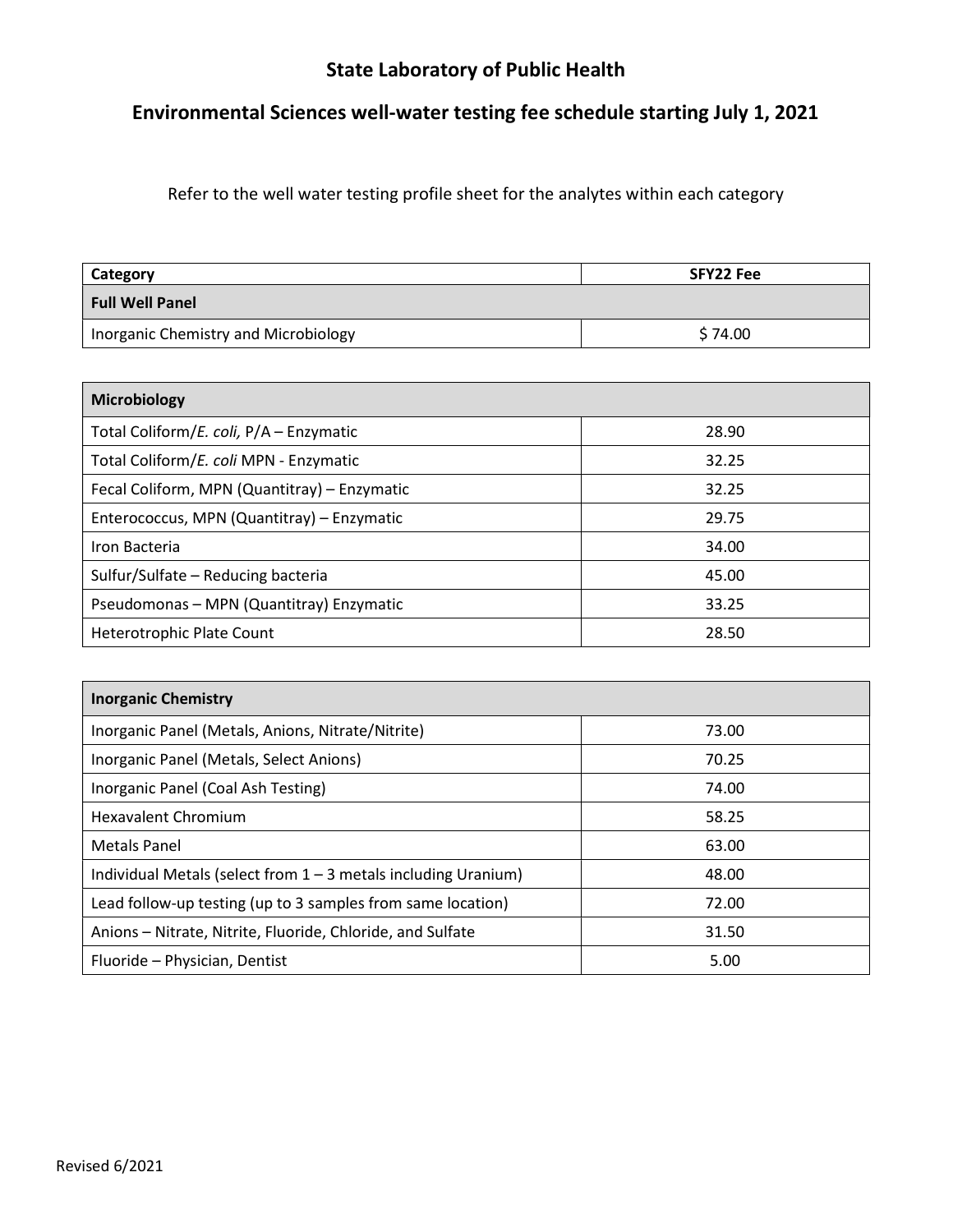## State Laboratory of Public Health

## Environmental Sciences well-water testing fee schedule starting July 1, 2021

Refer to the well water testing profile sheet for the analytes within each category

| Category                             | SFY22 Fee |
|--------------------------------------|-----------|
| Full Well Panel                      |           |
| Inorganic Chemistry and Microbiology | \$74.00   |

| <b>Microbiology</b>                          |       |  |
|----------------------------------------------|-------|--|
| Total Coliform/E. coli, P/A - Enzymatic      | 28.90 |  |
| Total Coliform/E. coli MPN - Enzymatic       | 32.25 |  |
| Fecal Coliform, MPN (Quantitray) - Enzymatic | 32.25 |  |
| Enterococcus, MPN (Quantitray) - Enzymatic   | 29.75 |  |
| Iron Bacteria                                | 34.00 |  |
| Sulfur/Sulfate - Reducing bacteria           | 45.00 |  |
| Pseudomonas - MPN (Quantitray) Enzymatic     | 33.25 |  |
| <b>Heterotrophic Plate Count</b>             | 28.50 |  |

| <b>Inorganic Chemistry</b>                                       |       |  |
|------------------------------------------------------------------|-------|--|
| Inorganic Panel (Metals, Anions, Nitrate/Nitrite)                | 73.00 |  |
| Inorganic Panel (Metals, Select Anions)                          | 70.25 |  |
| Inorganic Panel (Coal Ash Testing)                               | 74.00 |  |
| <b>Hexavalent Chromium</b>                                       | 58.25 |  |
| <b>Metals Panel</b>                                              | 63.00 |  |
| Individual Metals (select from $1 - 3$ metals including Uranium) | 48.00 |  |
| Lead follow-up testing (up to 3 samples from same location)      | 72.00 |  |
| Anions – Nitrate, Nitrite, Fluoride, Chloride, and Sulfate       | 31.50 |  |
| Fluoride - Physician, Dentist                                    | 5.00  |  |